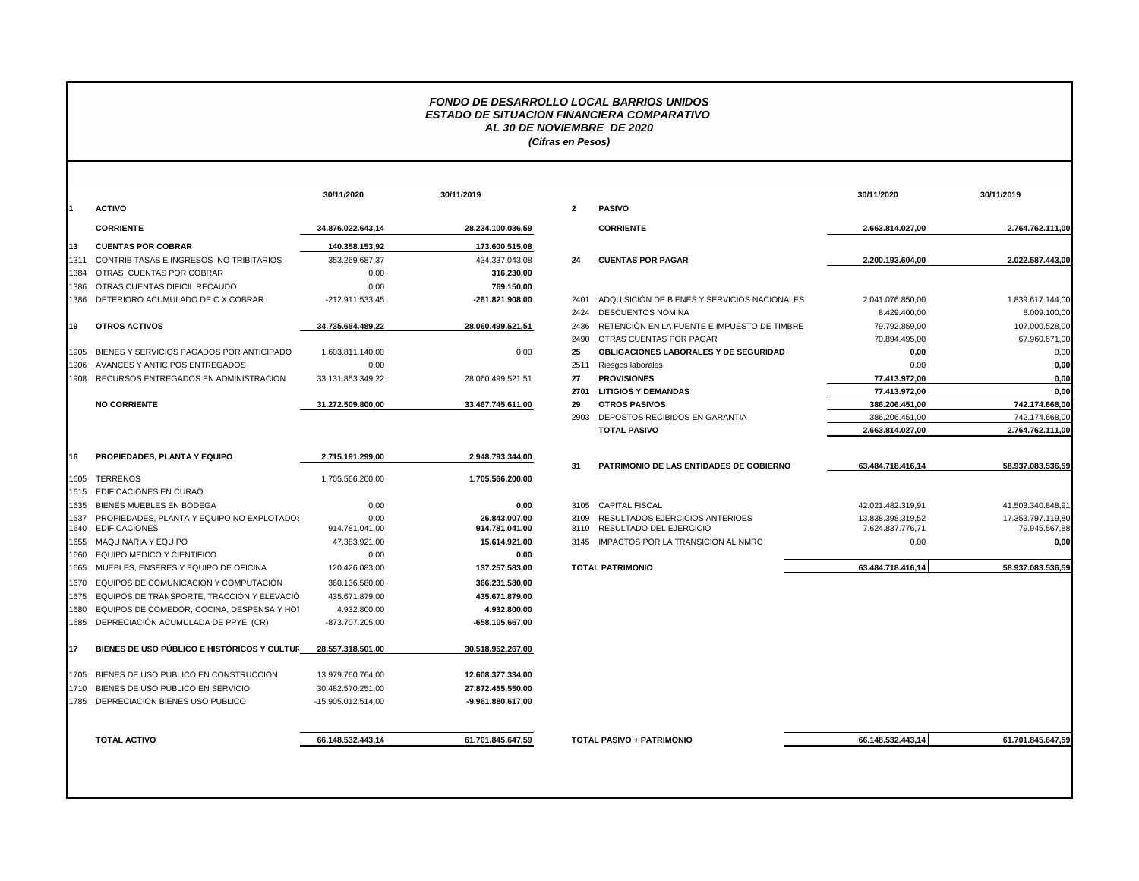## *FONDO DE DESARROLLO LOCAL BARRIOS UNIDOS ESTADO DE SITUACION FINANCIERA COMPARATIVO AL 30 DE NOVIEMBRE DE 2020 (Cifras en Pesos)*

|              |                                                                    | 30/11/2020             | 30/11/2019                      |              |                                |
|--------------|--------------------------------------------------------------------|------------------------|---------------------------------|--------------|--------------------------------|
| 1            | <b>ACTIVO</b>                                                      |                        |                                 | $\mathbf{2}$ | <b>PASIVO</b>                  |
|              | <b>CORRIENTE</b>                                                   | 34.876.022.643.14      | 28.234.100.036,59               |              | <b>CORRIE</b>                  |
| 13           | <b>CUENTAS POR COBRAR</b>                                          | 140.358.153,92         | 173.600.515,08                  |              |                                |
| 1311         | CONTRIB TASAS E INGRESOS NO TRIBITARIOS                            | 353.269.687,37         | 434.337.043,08                  | 24           | <b>CUENT/</b>                  |
| 1384         | OTRAS CUENTAS POR COBRAR                                           | 0,00                   | 316.230,00                      |              |                                |
| 1386         | OTRAS CUENTAS DIFICIL RECAUDO                                      | 0,00                   | 769.150,00                      |              |                                |
| 1386         | DETERIORO ACUMULADO DE C X COBRAR                                  | -212.911.533.45        | -261.821.908,00                 | 2401         | <b>ADQUIS</b>                  |
|              |                                                                    |                        |                                 | 2424         | <b>DESCUI</b>                  |
| 19           | <b>OTROS ACTIVOS</b>                                               | 34.735.664.489.22      | 28.060.499.521.51               | 2436         | <b>RETENO</b>                  |
|              |                                                                    |                        |                                 | 2490         | <b>OTRAS</b>                   |
| 1905         | BIENES Y SERVICIOS PAGADOS POR ANTICIPADO                          | 1.603.811.140,00       | 0,00                            | 25           | <b>OBLIGA</b>                  |
| 1906         | AVANCES Y ANTICIPOS ENTREGADOS                                     | 0.00                   |                                 | 2511         | Riesgos                        |
| 1908         | RECURSOS ENTREGADOS EN ADMINISTRACION                              | 33.131.853.349.22      | 28.060.499.521.51               | 27           | <b>PROVIS</b>                  |
|              |                                                                    |                        |                                 | 2701         | <b>LITIGIO</b>                 |
|              | <b>NO CORRIENTE</b>                                                | 31.272.509.800.00      | 33.467.745.611,00               | 29           | <b>OTROS</b>                   |
|              |                                                                    |                        |                                 | 2903         | DEPOS <sup>-</sup>             |
|              |                                                                    |                        |                                 |              | <b>TOTAL</b>                   |
| 16           | PROPIEDADES, PLANTA Y EQUIPO                                       | 2.715.191.299.00       | 2.948.793.344.00                | 31           | <b>PATRIM</b>                  |
| 1605         | <b>TERRENOS</b>                                                    | 1.705.566.200,00       | 1.705.566.200,00                |              |                                |
| 1615         | <b>EDIFICACIONES EN CURAO</b>                                      |                        |                                 |              |                                |
| 1635         | BIENES MUEBLES EN BODEGA                                           | 0,00                   | 0,00                            | 3105         | <b>CAPITA</b>                  |
| 1637<br>1640 | PROPIEDADES, PLANTA Y EQUIPO NO EXPLOTADOS<br><b>EDIFICACIONES</b> | 0.00<br>914.781.041,00 | 26.843.007.00<br>914.781.041,00 | 3109<br>3110 | <b>RESULT</b><br><b>RESULT</b> |
| 1655         | <b>MAQUINARIA Y EQUIPO</b>                                         | 47.383.921,00          | 15.614.921,00                   | 3145         | <b>IMPACT</b>                  |
| 1660         | EQUIPO MEDICO Y CIENTIFICO                                         | 0.00                   | 0,00                            |              |                                |
| 1665         | MUEBLES, ENSERES Y EQUIPO DE OFICINA                               | 120.426.083,00         | 137.257.583,00                  |              | <b>TOTAL PATRIN</b>            |
| 1670         | EQUIPOS DE COMUNICACIÓN Y COMPUTACIÓN                              | 360.136.580.00         | 366.231.580,00                  |              |                                |
| 1675         | EQUIPOS DE TRANSPORTE, TRACCIÓN Y ELEVACIÓ                         | 435.671.879,00         | 435.671.879,00                  |              |                                |
| 1680         | EQUIPOS DE COMEDOR, COCINA, DESPENSA Y HOT                         | 4.932.800.00           | 4.932.800,00                    |              |                                |
| 1685         | DEPRECIACIÓN ACUMULADA DE PPYE (CR)                                | -873.707.205,00        | -658.105.667,00                 |              |                                |
| 17           | BIENES DE USO PÚBLICO E HISTÓRICOS Y CULTUR                        | 28.557.318.501,00      | 30.518.952.267,00               |              |                                |
| 1705         | BIENES DE USO PÚBLICO EN CONSTRUCCIÓN                              | 13.979.760.764,00      | 12.608.377.334,00               |              |                                |
| 1710         | BIENES DE USO PÚBLICO EN SERVICIO                                  | 30.482.570.251,00      | 27.872.455.550,00               |              |                                |
| 1785         | DEPRECIACION BIENES USO PUBLICO                                    | -15.905.012.514,00     | -9.961.880.617,00               |              |                                |
|              |                                                                    |                        |                                 |              |                                |

|      |                                                 | 30/11/2020         | 30/11/2019        |                |                                              | 30/11/2020        | 30/11/2019        |
|------|-------------------------------------------------|--------------------|-------------------|----------------|----------------------------------------------|-------------------|-------------------|
|      | <b>ACTIVO</b>                                   |                    |                   | $\overline{2}$ | <b>PASIVO</b>                                |                   |                   |
|      | <b>CORRIENTE</b>                                | 34.876.022.643.14  | 28.234.100.036,59 |                | <b>CORRIENTE</b>                             | 2.663.814.027.00  | 2.764.762.111,00  |
| 13   | <b>CUENTAS POR COBRAR</b>                       | 140.358.153,92     | 173.600.515,08    |                |                                              |                   |                   |
| 1311 | CONTRIB TASAS E INGRESOS NO TRIBITARIOS         | 353.269.687,37     | 434.337.043,08    | 24             | <b>CUENTAS POR PAGAR</b>                     | 2.200.193.604.00  | 2.022.587.443,00  |
| 1384 | OTRAS CUENTAS POR COBRAR                        | 0,00               | 316.230,00        |                |                                              |                   |                   |
| 1386 | OTRAS CUENTAS DIFICIL RECAUDO                   | 0,00               | 769.150,00        |                |                                              |                   |                   |
|      | 1386 DETERIORO ACUMULADO DE CX COBRAR           | -212.911.533,45    | -261.821.908,00   | 2401           | ADQUISICIÓN DE BIENES Y SERVICIOS NACIONALES | 2.041.076.850,00  | 1.839.617.144,00  |
|      |                                                 |                    |                   | 2424           | <b>DESCUENTOS NOMINA</b>                     | 8.429.400,00      | 8.009.100,00      |
| 19   | <b>OTROS ACTIVOS</b>                            | 34.735.664.489.22  | 28.060.499.521,51 | 2436           | RETENCIÓN EN LA FUENTE E IMPUESTO DE TIMBRE  | 79.792.859,00     | 107.000.528,00    |
|      |                                                 |                    |                   | 2490           | OTRAS CUENTAS POR PAGAR                      | 70.894.495,00     | 67.960.671,00     |
| 1905 | BIENES Y SERVICIOS PAGADOS POR ANTICIPADO       | 1.603.811.140,00   | 0,00              | 25             | OBLIGACIONES LABORALES Y DE SEGURIDAD        | 0,00              | 0,00              |
|      | 1906 AVANCES Y ANTICIPOS ENTREGADOS             | 0,00               |                   | 2511           | Riesgos laborales                            | 0,00              | 0,00              |
|      | 1908 RECURSOS ENTREGADOS EN ADMINISTRACION      | 33.131.853.349.22  | 28.060.499.521.51 | 27             | <b>PROVISIONES</b>                           | 77.413.972.00     | 0.00              |
|      |                                                 |                    |                   | 2701           | <b>LITIGIOS Y DEMANDAS</b>                   | 77.413.972,00     | 0,00              |
|      | <b>NO CORRIENTE</b>                             | 31.272.509.800,00  | 33.467.745.611,00 | 29             | <b>OTROS PASIVOS</b>                         | 386.206.451,00    | 742.174.668,00    |
|      |                                                 |                    |                   | 2903           | DEPOSTOS RECIBIDOS EN GARANTIA               | 386.206.451,00    | 742.174.668,00    |
|      |                                                 |                    |                   |                | <b>TOTAL PASIVO</b>                          | 2.663.814.027,00  | 2.764.762.111,00  |
| 16   | PROPIEDADES, PLANTA Y EQUIPO                    | 2.715.191.299.00   | 2.948.793.344,00  |                |                                              |                   |                   |
|      |                                                 |                    |                   | 31             | PATRIMONIO DE LAS ENTIDADES DE GOBIERNO      | 63.484.718.416,14 | 58.937.083.536,59 |
| 1605 | <b>TERRENOS</b><br>1615 EDIFICACIONES EN CURAO  | 1.705.566.200,00   | 1.705.566.200.00  |                |                                              |                   |                   |
| 1635 | BIENES MUEBLES EN BODEGA                        | 0,00               | 0,00              |                | 3105 CAPITAL FISCAL                          | 42.021.482.319.91 | 41.503.340.848.91 |
| 1637 | PROPIEDADES, PLANTA Y EQUIPO NO EXPLOTADOS      | 0.00               | 26.843.007.00     | 3109           | RESULTADOS EJERCICIOS ANTERIOES              | 13.838.398.319.52 | 17.353.797.119.80 |
|      | 1640 EDIFICACIONES                              | 914.781.041,00     | 914.781.041,00    | 3110           | RESULTADO DEL EJERCICIO                      | 7.624.837.776,71  | 79.945.567,88     |
|      | 1655 MAQUINARIA Y EQUIPO                        | 47.383.921,00      | 15.614.921.00     |                | 3145 IMPACTOS POR LA TRANSICION AL NMRC      | 0,00              | 0.00              |
|      | 1660 EQUIPO MEDICO Y CIENTIFICO                 | 0,00               | 0,00              |                |                                              |                   |                   |
|      | 1665 MUEBLES, ENSERES Y EQUIPO DE OFICINA       | 120.426.083,00     | 137.257.583,00    |                | <b>TOTAL PATRIMONIO</b>                      | 63.484.718.416,14 | 58.937.083.536,59 |
|      | 1670 EQUIPOS DE COMUNICACIÓN Y COMPUTACIÓN      | 360.136.580.00     | 366.231.580.00    |                |                                              |                   |                   |
|      | 1675 EQUIPOS DE TRANSPORTE, TRACCIÓN Y ELEVACIÓ | 435.671.879,00     | 435.671.879,00    |                |                                              |                   |                   |
|      | 1680 EQUIPOS DE COMEDOR, COCINA, DESPENSA Y HOT | 4.932.800,00       | 4.932.800,00      |                |                                              |                   |                   |
|      | 1685 DEPRECIACIÓN ACUMULADA DE PPYE (CR)        | -873.707.205,00    | -658.105.667,00   |                |                                              |                   |                   |
| 17   | BIENES DE USO PÚBLICO E HISTÓRICOS Y CULTUR     | 28.557.318.501.00  | 30.518.952.267,00 |                |                                              |                   |                   |
|      | 1705 BIENES DE USO PÚBLICO EN CONSTRUCCIÓN      | 13.979.760.764,00  | 12.608.377.334,00 |                |                                              |                   |                   |
|      | 1710 BIENES DE USO PÚBLICO EN SERVICIO          | 30.482.570.251,00  | 27.872.455.550,00 |                |                                              |                   |                   |
|      | 1785 DEPRECIACION BIENES USO PUBLICO            | -15.905.012.514,00 | -9.961.880.617,00 |                |                                              |                   |                   |
|      | <b>TOTAL ACTIVO</b>                             | 66.148.532.443.14  | 61.701.845.647,59 |                | <b>TOTAL PASIVO + PATRIMONIO</b>             | 66.148.532.443.14 | 61.701.845.647,59 |